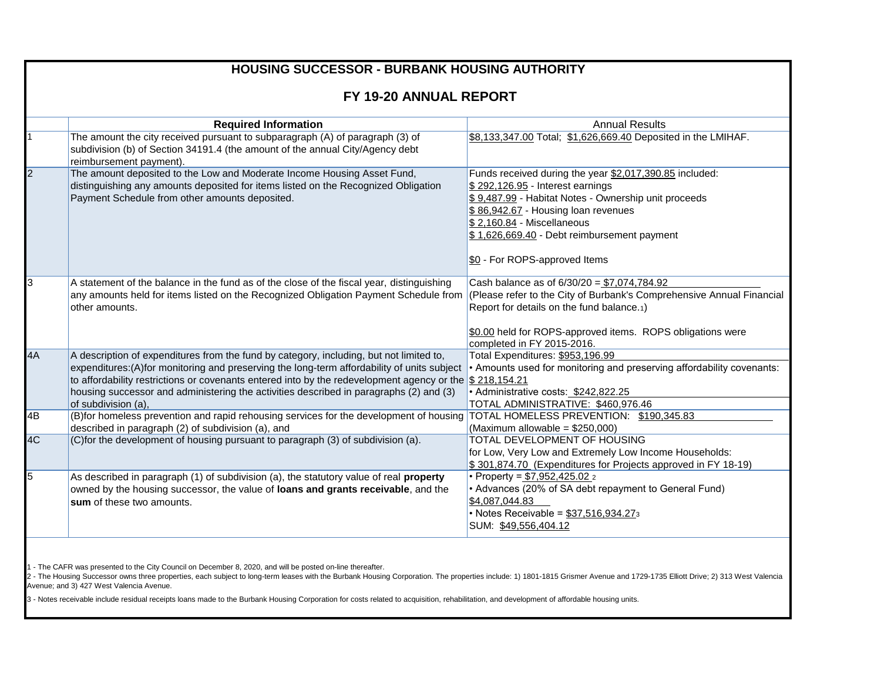| <b>HOUSING SUCCESSOR - BURBANK HOUSING AUTHORITY</b> |                                                                                                                                                                                                                                                                                                                                                                                                                      |                                                                                                                                                                                                                                                                                                                                                                    |  |  |  |
|------------------------------------------------------|----------------------------------------------------------------------------------------------------------------------------------------------------------------------------------------------------------------------------------------------------------------------------------------------------------------------------------------------------------------------------------------------------------------------|--------------------------------------------------------------------------------------------------------------------------------------------------------------------------------------------------------------------------------------------------------------------------------------------------------------------------------------------------------------------|--|--|--|
|                                                      |                                                                                                                                                                                                                                                                                                                                                                                                                      |                                                                                                                                                                                                                                                                                                                                                                    |  |  |  |
| FY 19-20 ANNUAL REPORT                               |                                                                                                                                                                                                                                                                                                                                                                                                                      |                                                                                                                                                                                                                                                                                                                                                                    |  |  |  |
|                                                      | <b>Required Information</b>                                                                                                                                                                                                                                                                                                                                                                                          | <b>Annual Results</b>                                                                                                                                                                                                                                                                                                                                              |  |  |  |
|                                                      | The amount the city received pursuant to subparagraph (A) of paragraph (3) of<br>subdivision (b) of Section 34191.4 (the amount of the annual City/Agency debt<br>reimbursement payment).                                                                                                                                                                                                                            | \$8,133,347.00 Total; \$1,626,669.40 Deposited in the LMIHAF.                                                                                                                                                                                                                                                                                                      |  |  |  |
| 2                                                    | The amount deposited to the Low and Moderate Income Housing Asset Fund,<br>distinguishing any amounts deposited for items listed on the Recognized Obligation<br>Payment Schedule from other amounts deposited.                                                                                                                                                                                                      | Funds received during the year \$2,017,390.85 included:<br>\$292,126.95 - Interest earnings<br>\$9,487.99 - Habitat Notes - Ownership unit proceeds<br>$\frac{16.86,942.67}{10000}$ - Housing loan revenues<br>$\frac{152,160.84}{100,1000}$ - Miscellaneous<br>$\frac{16.16266669.40}{16.06669.40}$ - Debt reimbursement payment<br>\$0 - For ROPS-approved Items |  |  |  |
| 3                                                    | A statement of the balance in the fund as of the close of the fiscal year, distinguishing<br>any amounts held for items listed on the Recognized Obligation Payment Schedule from<br>other amounts.                                                                                                                                                                                                                  | Cash balance as of $6/30/20 = $7,074,784.92$<br>(Please refer to the City of Burbank's Comprehensive Annual Financial<br>Report for details on the fund balance.1)<br>\$0.00 held for ROPS-approved items. ROPS obligations were<br>completed in FY 2015-2016.                                                                                                     |  |  |  |
| 4A                                                   | A description of expenditures from the fund by category, including, but not limited to,<br>expenditures: (A) for monitoring and preserving the long-term affordability of units subject<br>to affordability restrictions or covenants entered into by the redevelopment agency or the $$218,154.21$<br>housing successor and administering the activities described in paragraphs (2) and (3)<br>of subdivision (a), | Total Expenditures: \$953,196.99<br>• Amounts used for monitoring and preserving affordability covenants:<br>· Administrative costs: \$242,822.25<br>TOTAL ADMINISTRATIVE: \$460,976.46                                                                                                                                                                            |  |  |  |
| 4B                                                   | (B)for homeless prevention and rapid rehousing services for the development of housing TOTAL HOMELESS PREVENTION: \$190,345.83<br>described in paragraph (2) of subdivision (a), and                                                                                                                                                                                                                                 | (Maximum allowable = $$250,000$ )                                                                                                                                                                                                                                                                                                                                  |  |  |  |
| 4C                                                   | (C)for the development of housing pursuant to paragraph (3) of subdivision (a).                                                                                                                                                                                                                                                                                                                                      | TOTAL DEVELOPMENT OF HOUSING<br>for Low, Very Low and Extremely Low Income Households:<br>\$301,874.70 (Expenditures for Projects approved in FY 18-19)                                                                                                                                                                                                            |  |  |  |
| 5                                                    | As described in paragraph (1) of subdivision (a), the statutory value of real property<br>owned by the housing successor, the value of loans and grants receivable, and the<br>sum of these two amounts.                                                                                                                                                                                                             | • Property = \$7,952,425.02 2<br>• Advances (20% of SA debt repayment to General Fund)<br>\$4,087,044.83<br>• Notes Receivable = \$37,516,934.273<br>SUM: \$49,556,404.12                                                                                                                                                                                          |  |  |  |

1 - The CAFR was presented to the City Council on December 8, 2020, and will be posted on-line thereafter.

2 - The Housing Successor owns three properties, each subject to long-term leases with the Burbank Housing Corporation. The properties include: 1) 1801-1815 Grismer Avenue and 1729-1735 Elliott Drive; 2) 313 West Valencia Avenue; and 3) 427 West Valencia Avenue.

3 - Notes receivable include residual receipts loans made to the Burbank Housing Corporation for costs related to acquisition, rehabilitation, and development of affordable housing units.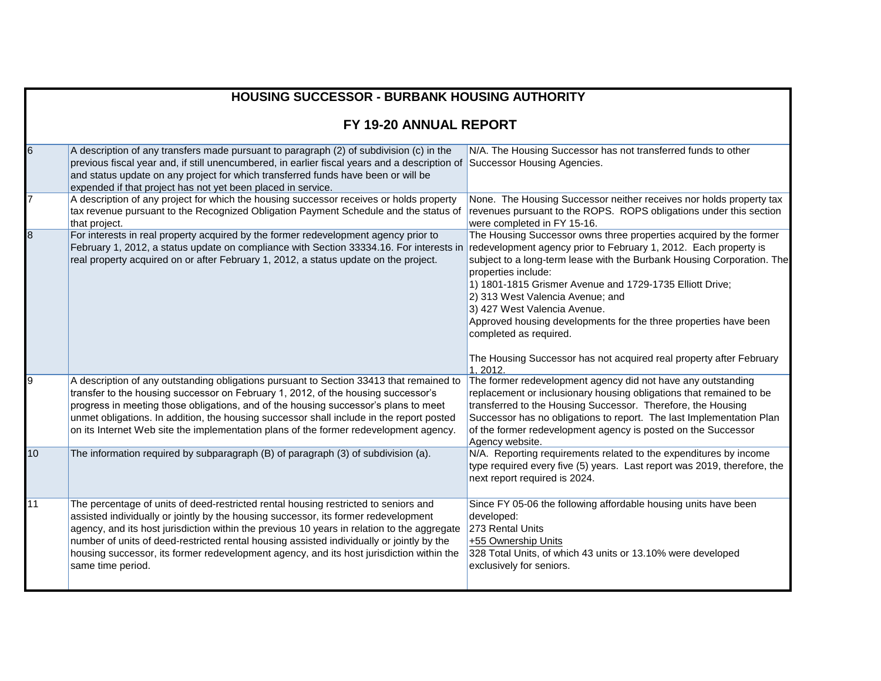|                        | <b>HOUSING SUCCESSOR - BURBANK HOUSING AUTHORITY</b>                                                                                                                                                                                                                                                                                                                                                                                                                                    |                                                                                                                                                                                                                                                                                                                                                                                                                                                                       |  |  |
|------------------------|-----------------------------------------------------------------------------------------------------------------------------------------------------------------------------------------------------------------------------------------------------------------------------------------------------------------------------------------------------------------------------------------------------------------------------------------------------------------------------------------|-----------------------------------------------------------------------------------------------------------------------------------------------------------------------------------------------------------------------------------------------------------------------------------------------------------------------------------------------------------------------------------------------------------------------------------------------------------------------|--|--|
| FY 19-20 ANNUAL REPORT |                                                                                                                                                                                                                                                                                                                                                                                                                                                                                         |                                                                                                                                                                                                                                                                                                                                                                                                                                                                       |  |  |
| 6                      | A description of any transfers made pursuant to paragraph (2) of subdivision (c) in the<br>previous fiscal year and, if still unencumbered, in earlier fiscal years and a description of<br>and status update on any project for which transferred funds have been or will be<br>expended if that project has not yet been placed in service.                                                                                                                                           | N/A. The Housing Successor has not transferred funds to other<br>Successor Housing Agencies.                                                                                                                                                                                                                                                                                                                                                                          |  |  |
|                        | A description of any project for which the housing successor receives or holds property<br>tax revenue pursuant to the Recognized Obligation Payment Schedule and the status of<br>that project.                                                                                                                                                                                                                                                                                        | None. The Housing Successor neither receives nor holds property tax<br>revenues pursuant to the ROPS. ROPS obligations under this section<br>were completed in FY 15-16.                                                                                                                                                                                                                                                                                              |  |  |
| 8                      | For interests in real property acquired by the former redevelopment agency prior to<br>February 1, 2012, a status update on compliance with Section 33334.16. For interests in<br>real property acquired on or after February 1, 2012, a status update on the project.                                                                                                                                                                                                                  | The Housing Successor owns three properties acquired by the former<br>redevelopment agency prior to February 1, 2012. Each property is<br>subject to a long-term lease with the Burbank Housing Corporation. The<br>properties include:<br>1) 1801-1815 Grismer Avenue and 1729-1735 Elliott Drive;<br>2) 313 West Valencia Avenue; and<br>3) 427 West Valencia Avenue.<br>Approved housing developments for the three properties have been<br>completed as required. |  |  |
|                        |                                                                                                                                                                                                                                                                                                                                                                                                                                                                                         | The Housing Successor has not acquired real property after February<br>1.2012.                                                                                                                                                                                                                                                                                                                                                                                        |  |  |
| 9                      | A description of any outstanding obligations pursuant to Section 33413 that remained to<br>transfer to the housing successor on February 1, 2012, of the housing successor's<br>progress in meeting those obligations, and of the housing successor's plans to meet<br>unmet obligations. In addition, the housing successor shall include in the report posted<br>on its Internet Web site the implementation plans of the former redevelopment agency.                                | The former redevelopment agency did not have any outstanding<br>replacement or inclusionary housing obligations that remained to be<br>transferred to the Housing Successor. Therefore, the Housing<br>Successor has no obligations to report. The last Implementation Plan<br>of the former redevelopment agency is posted on the Successor<br>Agency website.                                                                                                       |  |  |
| 10                     | The information required by subparagraph (B) of paragraph (3) of subdivision (a).                                                                                                                                                                                                                                                                                                                                                                                                       | N/A. Reporting requirements related to the expenditures by income<br>type required every five (5) years. Last report was 2019, therefore, the<br>next report required is 2024.                                                                                                                                                                                                                                                                                        |  |  |
| 11                     | The percentage of units of deed-restricted rental housing restricted to seniors and<br>assisted individually or jointly by the housing successor, its former redevelopment<br>agency, and its host jurisdiction within the previous 10 years in relation to the aggregate<br>number of units of deed-restricted rental housing assisted individually or jointly by the<br>housing successor, its former redevelopment agency, and its host jurisdiction within the<br>same time period. | Since FY 05-06 the following affordable housing units have been<br>developed:<br>273 Rental Units<br>+55 Ownership Units<br>328 Total Units, of which 43 units or 13.10% were developed<br>exclusively for seniors.                                                                                                                                                                                                                                                   |  |  |